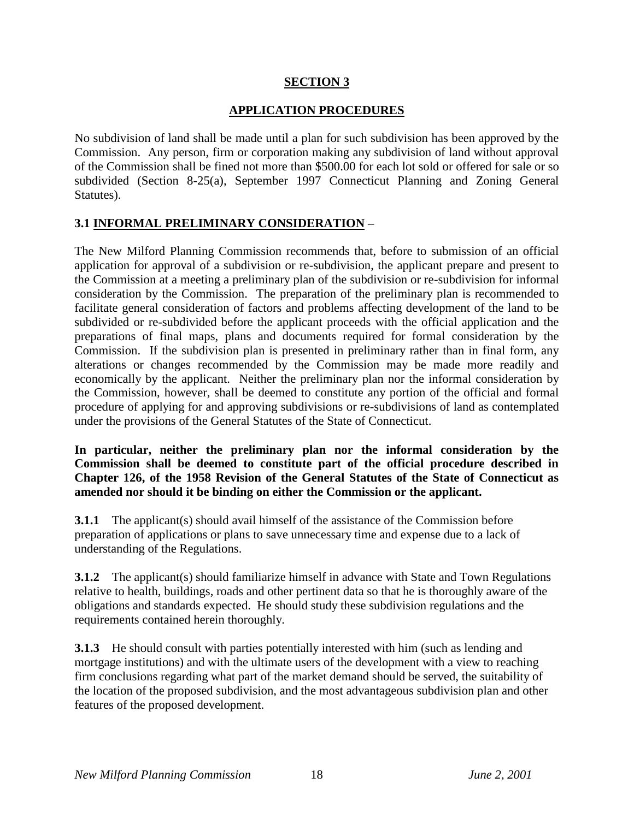### **SECTION 3**

### **APPLICATION PROCEDURES**

No subdivision of land shall be made until a plan for such subdivision has been approved by the Commission. Any person, firm or corporation making any subdivision of land without approval of the Commission shall be fined not more than \$500.00 for each lot sold or offered for sale or so subdivided (Section 8-25(a), September 1997 Connecticut Planning and Zoning General Statutes).

### **3.1 INFORMAL PRELIMINARY CONSIDERATION –**

The New Milford Planning Commission recommends that, before to submission of an official application for approval of a subdivision or re-subdivision, the applicant prepare and present to the Commission at a meeting a preliminary plan of the subdivision or re-subdivision for informal consideration by the Commission. The preparation of the preliminary plan is recommended to facilitate general consideration of factors and problems affecting development of the land to be subdivided or re-subdivided before the applicant proceeds with the official application and the preparations of final maps, plans and documents required for formal consideration by the Commission. If the subdivision plan is presented in preliminary rather than in final form, any alterations or changes recommended by the Commission may be made more readily and economically by the applicant. Neither the preliminary plan nor the informal consideration by the Commission, however, shall be deemed to constitute any portion of the official and formal procedure of applying for and approving subdivisions or re-subdivisions of land as contemplated under the provisions of the General Statutes of the State of Connecticut.

**In particular, neither the preliminary plan nor the informal consideration by the Commission shall be deemed to constitute part of the official procedure described in Chapter 126, of the 1958 Revision of the General Statutes of the State of Connecticut as amended nor should it be binding on either the Commission or the applicant.**

**3.1.1** The applicant(s) should avail himself of the assistance of the Commission before preparation of applications or plans to save unnecessary time and expense due to a lack of understanding of the Regulations.

**3.1.2** The applicant(s) should familiarize himself in advance with State and Town Regulations relative to health, buildings, roads and other pertinent data so that he is thoroughly aware of the obligations and standards expected. He should study these subdivision regulations and the requirements contained herein thoroughly.

**3.1.3** He should consult with parties potentially interested with him (such as lending and mortgage institutions) and with the ultimate users of the development with a view to reaching firm conclusions regarding what part of the market demand should be served, the suitability of the location of the proposed subdivision, and the most advantageous subdivision plan and other features of the proposed development.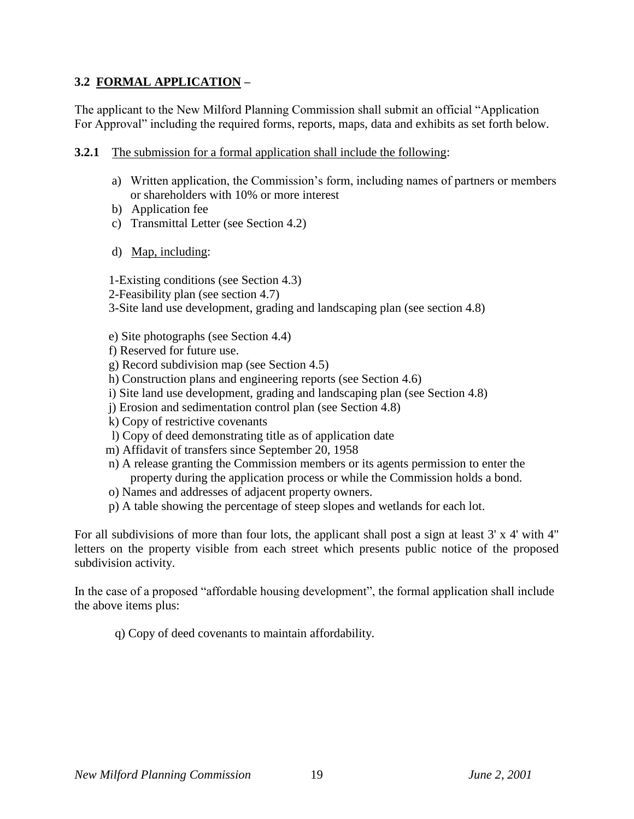### **3.2 FORMAL APPLICATION –**

The applicant to the New Milford Planning Commission shall submit an official "Application For Approval" including the required forms, reports, maps, data and exhibits as set forth below.

- **3.2.1** The submission for a formal application shall include the following:
	- a) Written application, the Commission's form, including names of partners or members or shareholders with 10% or more interest
	- b) Application fee
	- c) Transmittal Letter (see Section 4.2)
	- d) Map, including:

1-Existing conditions (see Section 4.3)

2-Feasibility plan (see section 4.7)

3-Site land use development, grading and landscaping plan (see section 4.8)

- e) Site photographs (see Section 4.4)
- f) Reserved for future use.
- g) Record subdivision map (see Section 4.5)
- h) Construction plans and engineering reports (see Section 4.6)
- i) Site land use development, grading and landscaping plan (see Section 4.8)
- j) Erosion and sedimentation control plan (see Section 4.8)
- k) Copy of restrictive covenants
- l) Copy of deed demonstrating title as of application date
- m) Affidavit of transfers since September 20, 1958
- n) A release granting the Commission members or its agents permission to enter the property during the application process or while the Commission holds a bond.
- o) Names and addresses of adjacent property owners.
- p) A table showing the percentage of steep slopes and wetlands for each lot.

For all subdivisions of more than four lots, the applicant shall post a sign at least 3' x 4' with 4" letters on the property visible from each street which presents public notice of the proposed subdivision activity.

In the case of a proposed "affordable housing development", the formal application shall include the above items plus:

q) Copy of deed covenants to maintain affordability.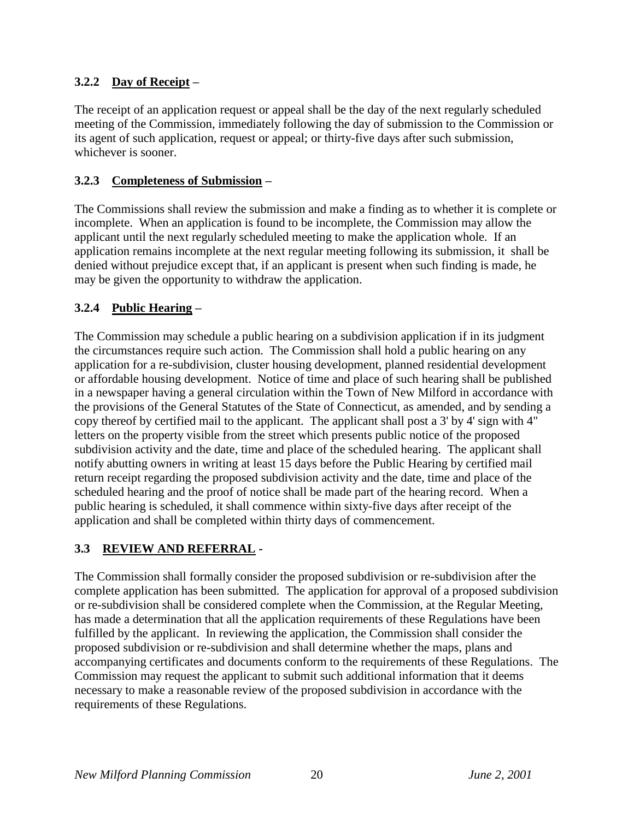## **3.2.2 Day of Receipt –**

The receipt of an application request or appeal shall be the day of the next regularly scheduled meeting of the Commission, immediately following the day of submission to the Commission or its agent of such application, request or appeal; or thirty-five days after such submission, whichever is sooner.

### **3.2.3 Completeness of Submission –**

The Commissions shall review the submission and make a finding as to whether it is complete or incomplete. When an application is found to be incomplete, the Commission may allow the applicant until the next regularly scheduled meeting to make the application whole. If an application remains incomplete at the next regular meeting following its submission, it shall be denied without prejudice except that, if an applicant is present when such finding is made, he may be given the opportunity to withdraw the application.

## **3.2.4 Public Hearing –**

The Commission may schedule a public hearing on a subdivision application if in its judgment the circumstances require such action. The Commission shall hold a public hearing on any application for a re-subdivision, cluster housing development, planned residential development or affordable housing development. Notice of time and place of such hearing shall be published in a newspaper having a general circulation within the Town of New Milford in accordance with the provisions of the General Statutes of the State of Connecticut, as amended, and by sending a copy thereof by certified mail to the applicant. The applicant shall post a 3' by 4' sign with 4" letters on the property visible from the street which presents public notice of the proposed subdivision activity and the date, time and place of the scheduled hearing. The applicant shall notify abutting owners in writing at least 15 days before the Public Hearing by certified mail return receipt regarding the proposed subdivision activity and the date, time and place of the scheduled hearing and the proof of notice shall be made part of the hearing record. When a public hearing is scheduled, it shall commence within sixty-five days after receipt of the application and shall be completed within thirty days of commencement.

## **3.3 REVIEW AND REFERRAL -**

The Commission shall formally consider the proposed subdivision or re-subdivision after the complete application has been submitted. The application for approval of a proposed subdivision or re-subdivision shall be considered complete when the Commission, at the Regular Meeting, has made a determination that all the application requirements of these Regulations have been fulfilled by the applicant. In reviewing the application, the Commission shall consider the proposed subdivision or re-subdivision and shall determine whether the maps, plans and accompanying certificates and documents conform to the requirements of these Regulations. The Commission may request the applicant to submit such additional information that it deems necessary to make a reasonable review of the proposed subdivision in accordance with the requirements of these Regulations.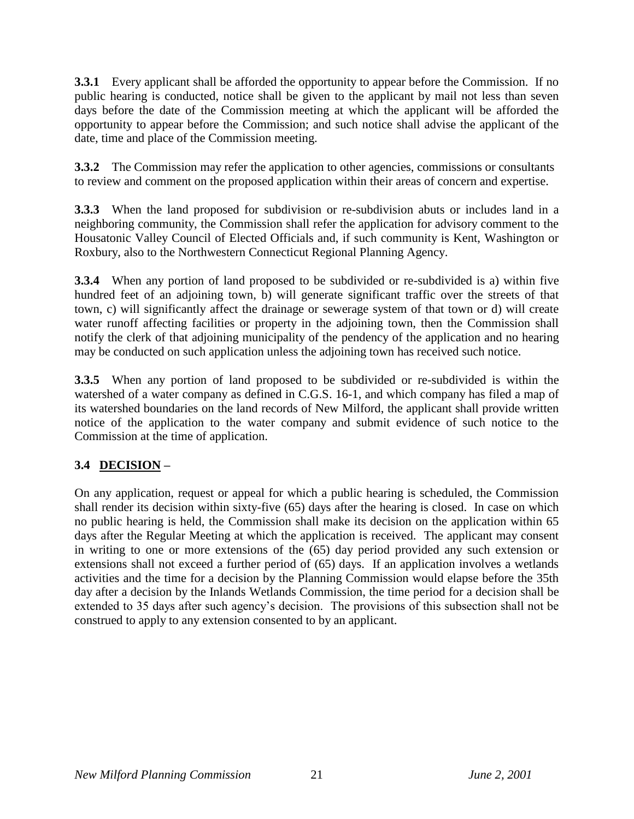**3.3.1** Every applicant shall be afforded the opportunity to appear before the Commission. If no public hearing is conducted, notice shall be given to the applicant by mail not less than seven days before the date of the Commission meeting at which the applicant will be afforded the opportunity to appear before the Commission; and such notice shall advise the applicant of the date, time and place of the Commission meeting.

**3.3.2** The Commission may refer the application to other agencies, commissions or consultants to review and comment on the proposed application within their areas of concern and expertise.

**3.3.3** When the land proposed for subdivision or re-subdivision abuts or includes land in a neighboring community, the Commission shall refer the application for advisory comment to the Housatonic Valley Council of Elected Officials and, if such community is Kent, Washington or Roxbury, also to the Northwestern Connecticut Regional Planning Agency.

**3.3.4** When any portion of land proposed to be subdivided or re-subdivided is a) within five hundred feet of an adjoining town, b) will generate significant traffic over the streets of that town, c) will significantly affect the drainage or sewerage system of that town or d) will create water runoff affecting facilities or property in the adjoining town, then the Commission shall notify the clerk of that adjoining municipality of the pendency of the application and no hearing may be conducted on such application unless the adjoining town has received such notice.

**3.3.5** When any portion of land proposed to be subdivided or re-subdivided is within the watershed of a water company as defined in C.G.S. 16-1, and which company has filed a map of its watershed boundaries on the land records of New Milford, the applicant shall provide written notice of the application to the water company and submit evidence of such notice to the Commission at the time of application.

# **3.4 DECISION –**

On any application, request or appeal for which a public hearing is scheduled, the Commission shall render its decision within sixty-five (65) days after the hearing is closed. In case on which no public hearing is held, the Commission shall make its decision on the application within 65 days after the Regular Meeting at which the application is received. The applicant may consent in writing to one or more extensions of the (65) day period provided any such extension or extensions shall not exceed a further period of (65) days. If an application involves a wetlands activities and the time for a decision by the Planning Commission would elapse before the 35th day after a decision by the Inlands Wetlands Commission, the time period for a decision shall be extended to 35 days after such agency's decision. The provisions of this subsection shall not be construed to apply to any extension consented to by an applicant.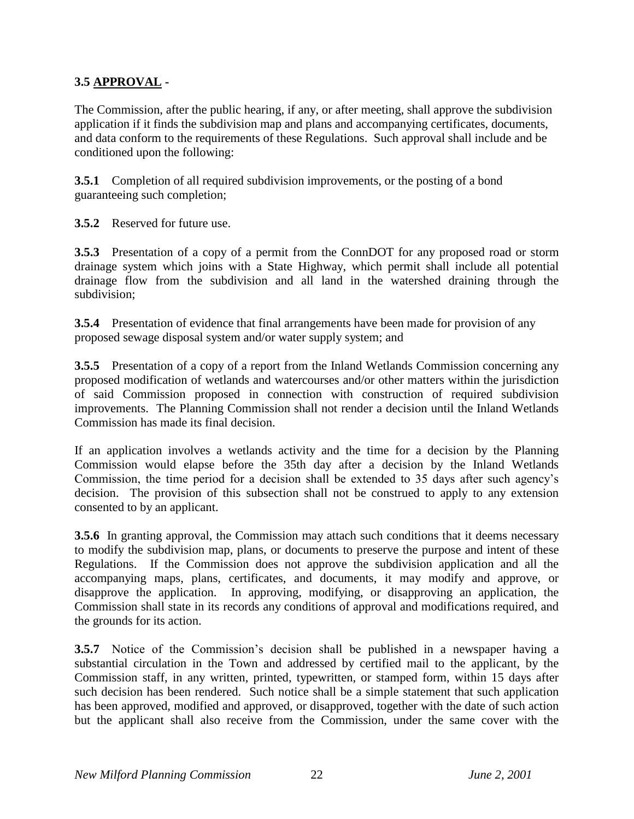### **3.5 APPROVAL -**

The Commission, after the public hearing, if any, or after meeting, shall approve the subdivision application if it finds the subdivision map and plans and accompanying certificates, documents, and data conform to the requirements of these Regulations. Such approval shall include and be conditioned upon the following:

**3.5.1** Completion of all required subdivision improvements, or the posting of a bond guaranteeing such completion;

**3.5.2** Reserved for future use.

**3.5.3** Presentation of a copy of a permit from the ConnDOT for any proposed road or storm drainage system which joins with a State Highway, which permit shall include all potential drainage flow from the subdivision and all land in the watershed draining through the subdivision;

**3.5.4** Presentation of evidence that final arrangements have been made for provision of any proposed sewage disposal system and/or water supply system; and

**3.5.5** Presentation of a copy of a report from the Inland Wetlands Commission concerning any proposed modification of wetlands and watercourses and/or other matters within the jurisdiction of said Commission proposed in connection with construction of required subdivision improvements. The Planning Commission shall not render a decision until the Inland Wetlands Commission has made its final decision.

If an application involves a wetlands activity and the time for a decision by the Planning Commission would elapse before the 35th day after a decision by the Inland Wetlands Commission, the time period for a decision shall be extended to 35 days after such agency's decision. The provision of this subsection shall not be construed to apply to any extension consented to by an applicant.

**3.5.6** In granting approval, the Commission may attach such conditions that it deems necessary to modify the subdivision map, plans, or documents to preserve the purpose and intent of these Regulations. If the Commission does not approve the subdivision application and all the accompanying maps, plans, certificates, and documents, it may modify and approve, or disapprove the application. In approving, modifying, or disapproving an application, the Commission shall state in its records any conditions of approval and modifications required, and the grounds for its action.

**3.5.7** Notice of the Commission's decision shall be published in a newspaper having a substantial circulation in the Town and addressed by certified mail to the applicant, by the Commission staff, in any written, printed, typewritten, or stamped form, within 15 days after such decision has been rendered. Such notice shall be a simple statement that such application has been approved, modified and approved, or disapproved, together with the date of such action but the applicant shall also receive from the Commission, under the same cover with the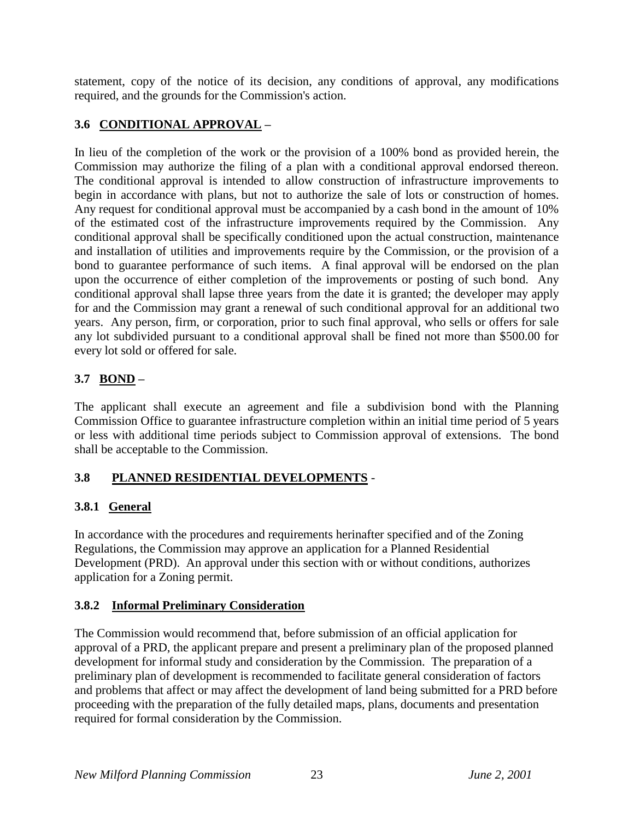statement, copy of the notice of its decision, any conditions of approval, any modifications required, and the grounds for the Commission's action.

# **3.6 CONDITIONAL APPROVAL –**

In lieu of the completion of the work or the provision of a 100% bond as provided herein, the Commission may authorize the filing of a plan with a conditional approval endorsed thereon. The conditional approval is intended to allow construction of infrastructure improvements to begin in accordance with plans, but not to authorize the sale of lots or construction of homes. Any request for conditional approval must be accompanied by a cash bond in the amount of 10% of the estimated cost of the infrastructure improvements required by the Commission. Any conditional approval shall be specifically conditioned upon the actual construction, maintenance and installation of utilities and improvements require by the Commission, or the provision of a bond to guarantee performance of such items. A final approval will be endorsed on the plan upon the occurrence of either completion of the improvements or posting of such bond. Any conditional approval shall lapse three years from the date it is granted; the developer may apply for and the Commission may grant a renewal of such conditional approval for an additional two years. Any person, firm, or corporation, prior to such final approval, who sells or offers for sale any lot subdivided pursuant to a conditional approval shall be fined not more than \$500.00 for every lot sold or offered for sale.

# **3.7 BOND –**

The applicant shall execute an agreement and file a subdivision bond with the Planning Commission Office to guarantee infrastructure completion within an initial time period of 5 years or less with additional time periods subject to Commission approval of extensions. The bond shall be acceptable to the Commission.

# **3.8 PLANNED RESIDENTIAL DEVELOPMENTS** -

# **3.8.1 General**

In accordance with the procedures and requirements herinafter specified and of the Zoning Regulations, the Commission may approve an application for a Planned Residential Development (PRD). An approval under this section with or without conditions, authorizes application for a Zoning permit.

## **3.8.2 Informal Preliminary Consideration**

The Commission would recommend that, before submission of an official application for approval of a PRD, the applicant prepare and present a preliminary plan of the proposed planned development for informal study and consideration by the Commission. The preparation of a preliminary plan of development is recommended to facilitate general consideration of factors and problems that affect or may affect the development of land being submitted for a PRD before proceeding with the preparation of the fully detailed maps, plans, documents and presentation required for formal consideration by the Commission.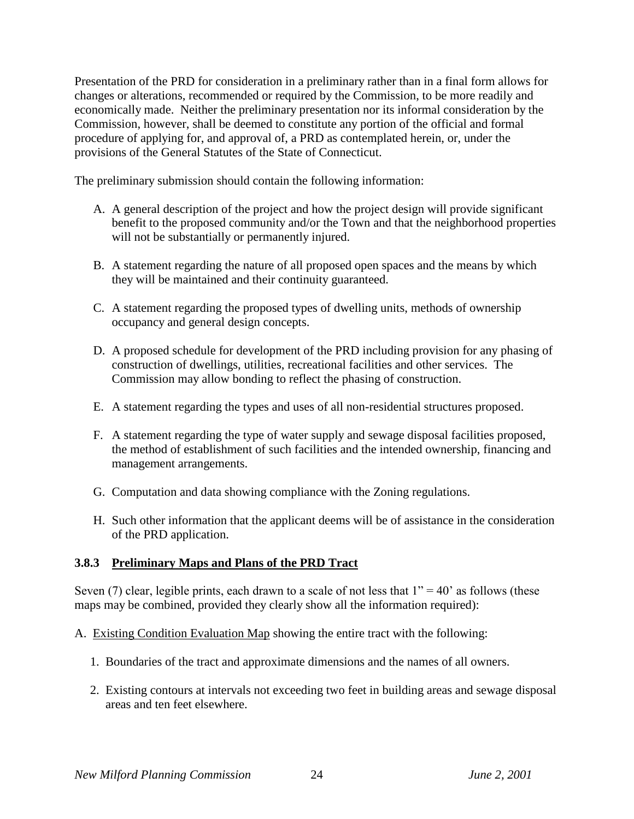Presentation of the PRD for consideration in a preliminary rather than in a final form allows for changes or alterations, recommended or required by the Commission, to be more readily and economically made. Neither the preliminary presentation nor its informal consideration by the Commission, however, shall be deemed to constitute any portion of the official and formal procedure of applying for, and approval of, a PRD as contemplated herein, or, under the provisions of the General Statutes of the State of Connecticut.

The preliminary submission should contain the following information:

- A. A general description of the project and how the project design will provide significant benefit to the proposed community and/or the Town and that the neighborhood properties will not be substantially or permanently injured.
- B. A statement regarding the nature of all proposed open spaces and the means by which they will be maintained and their continuity guaranteed.
- C. A statement regarding the proposed types of dwelling units, methods of ownership occupancy and general design concepts.
- D. A proposed schedule for development of the PRD including provision for any phasing of construction of dwellings, utilities, recreational facilities and other services. The Commission may allow bonding to reflect the phasing of construction.
- E. A statement regarding the types and uses of all non-residential structures proposed.
- F. A statement regarding the type of water supply and sewage disposal facilities proposed, the method of establishment of such facilities and the intended ownership, financing and management arrangements.
- G. Computation and data showing compliance with the Zoning regulations.
- H. Such other information that the applicant deems will be of assistance in the consideration of the PRD application.

#### **3.8.3 Preliminary Maps and Plans of the PRD Tract**

Seven (7) clear, legible prints, each drawn to a scale of not less that  $1" = 40"$  as follows (these maps may be combined, provided they clearly show all the information required):

A. Existing Condition Evaluation Map showing the entire tract with the following:

- 1. Boundaries of the tract and approximate dimensions and the names of all owners.
- 2. Existing contours at intervals not exceeding two feet in building areas and sewage disposal areas and ten feet elsewhere.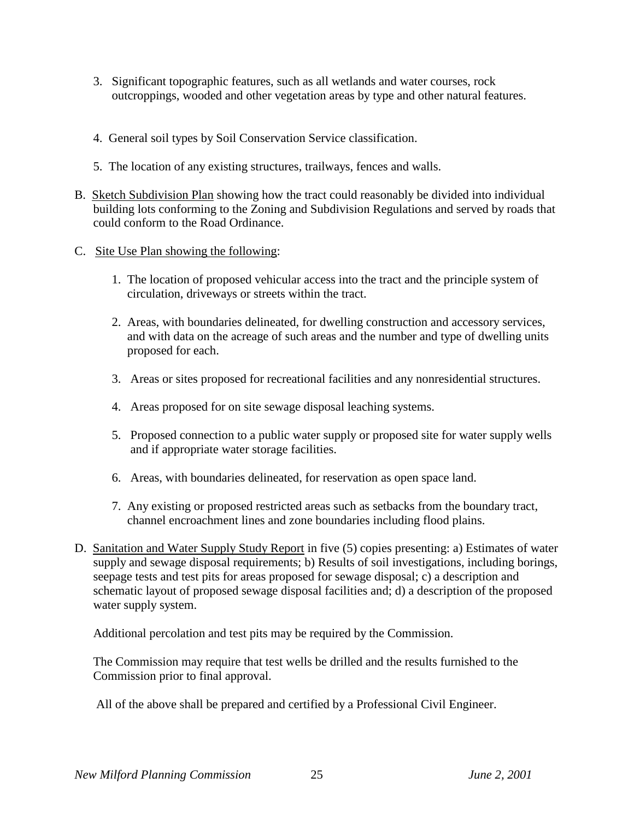- 3. Significant topographic features, such as all wetlands and water courses, rock outcroppings, wooded and other vegetation areas by type and other natural features.
- 4. General soil types by Soil Conservation Service classification.
- 5. The location of any existing structures, trailways, fences and walls.
- B. Sketch Subdivision Plan showing how the tract could reasonably be divided into individual building lots conforming to the Zoning and Subdivision Regulations and served by roads that could conform to the Road Ordinance.
- C. Site Use Plan showing the following:
	- 1. The location of proposed vehicular access into the tract and the principle system of circulation, driveways or streets within the tract.
	- 2. Areas, with boundaries delineated, for dwelling construction and accessory services, and with data on the acreage of such areas and the number and type of dwelling units proposed for each.
	- 3. Areas or sites proposed for recreational facilities and any nonresidential structures.
	- 4. Areas proposed for on site sewage disposal leaching systems.
	- 5. Proposed connection to a public water supply or proposed site for water supply wells and if appropriate water storage facilities.
	- 6. Areas, with boundaries delineated, for reservation as open space land.
	- 7. Any existing or proposed restricted areas such as setbacks from the boundary tract, channel encroachment lines and zone boundaries including flood plains.
- D. Sanitation and Water Supply Study Report in five (5) copies presenting: a) Estimates of water supply and sewage disposal requirements; b) Results of soil investigations, including borings, seepage tests and test pits for areas proposed for sewage disposal; c) a description and schematic layout of proposed sewage disposal facilities and; d) a description of the proposed water supply system.

Additional percolation and test pits may be required by the Commission.

The Commission may require that test wells be drilled and the results furnished to the Commission prior to final approval.

All of the above shall be prepared and certified by a Professional Civil Engineer.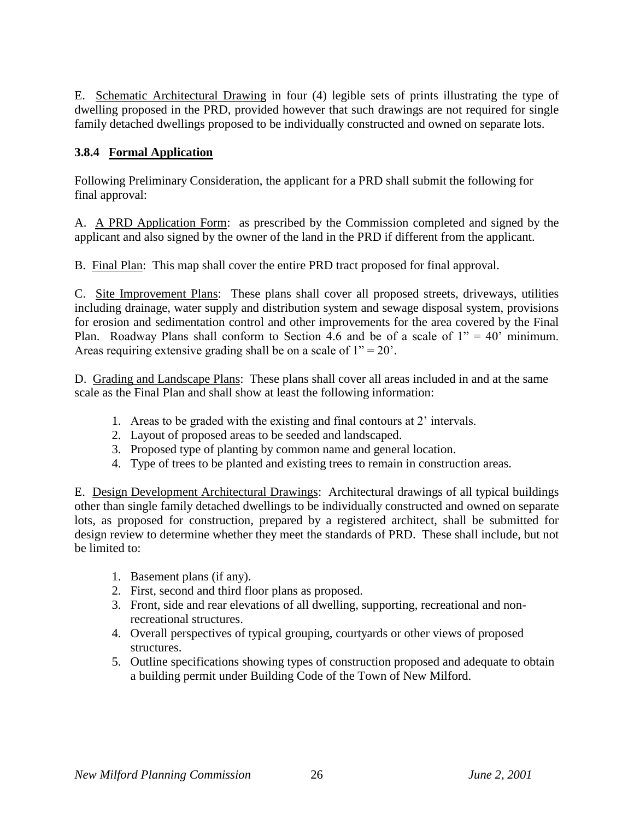E. Schematic Architectural Drawing in four (4) legible sets of prints illustrating the type of dwelling proposed in the PRD, provided however that such drawings are not required for single family detached dwellings proposed to be individually constructed and owned on separate lots.

### **3.8.4 Formal Application**

Following Preliminary Consideration, the applicant for a PRD shall submit the following for final approval:

A. A PRD Application Form: as prescribed by the Commission completed and signed by the applicant and also signed by the owner of the land in the PRD if different from the applicant.

B. Final Plan: This map shall cover the entire PRD tract proposed for final approval.

C. Site Improvement Plans: These plans shall cover all proposed streets, driveways, utilities including drainage, water supply and distribution system and sewage disposal system, provisions for erosion and sedimentation control and other improvements for the area covered by the Final Plan. Roadway Plans shall conform to Section 4.6 and be of a scale of  $1'' = 40'$  minimum. Areas requiring extensive grading shall be on a scale of  $1" = 20'$ .

D. Grading and Landscape Plans: These plans shall cover all areas included in and at the same scale as the Final Plan and shall show at least the following information:

- 1. Areas to be graded with the existing and final contours at 2' intervals.
- 2. Layout of proposed areas to be seeded and landscaped.
- 3. Proposed type of planting by common name and general location.
- 4. Type of trees to be planted and existing trees to remain in construction areas.

E. Design Development Architectural Drawings: Architectural drawings of all typical buildings other than single family detached dwellings to be individually constructed and owned on separate lots, as proposed for construction, prepared by a registered architect, shall be submitted for design review to determine whether they meet the standards of PRD. These shall include, but not be limited to:

- 1. Basement plans (if any).
- 2. First, second and third floor plans as proposed.
- 3. Front, side and rear elevations of all dwelling, supporting, recreational and nonrecreational structures.
- 4. Overall perspectives of typical grouping, courtyards or other views of proposed structures.
- 5. Outline specifications showing types of construction proposed and adequate to obtain a building permit under Building Code of the Town of New Milford.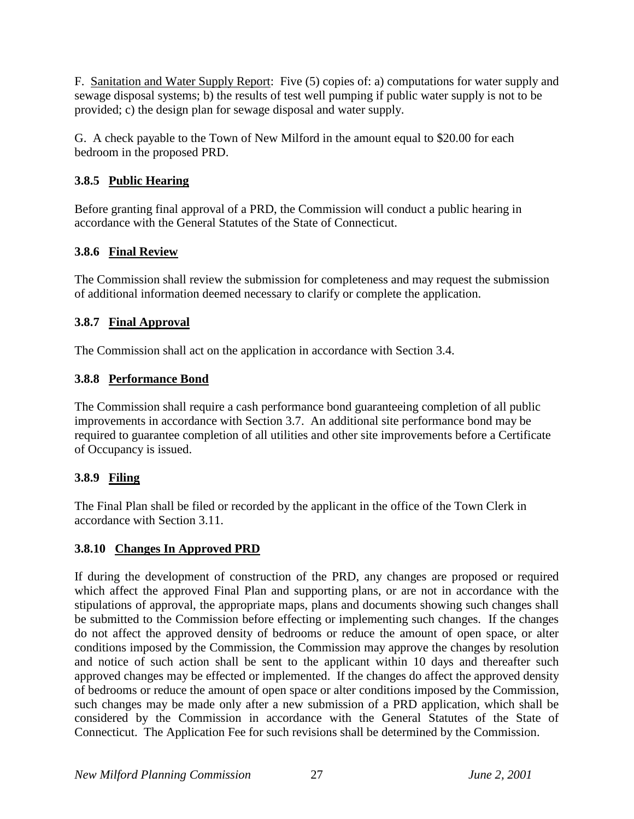F. Sanitation and Water Supply Report: Five (5) copies of: a) computations for water supply and sewage disposal systems; b) the results of test well pumping if public water supply is not to be provided; c) the design plan for sewage disposal and water supply.

G. A check payable to the Town of New Milford in the amount equal to \$20.00 for each bedroom in the proposed PRD.

## **3.8.5 Public Hearing**

Before granting final approval of a PRD, the Commission will conduct a public hearing in accordance with the General Statutes of the State of Connecticut.

## **3.8.6 Final Review**

The Commission shall review the submission for completeness and may request the submission of additional information deemed necessary to clarify or complete the application.

## **3.8.7 Final Approval**

The Commission shall act on the application in accordance with Section 3.4.

## **3.8.8 Performance Bond**

The Commission shall require a cash performance bond guaranteeing completion of all public improvements in accordance with Section 3.7. An additional site performance bond may be required to guarantee completion of all utilities and other site improvements before a Certificate of Occupancy is issued.

# **3.8.9 Filing**

The Final Plan shall be filed or recorded by the applicant in the office of the Town Clerk in accordance with Section 3.11.

## **3.8.10 Changes In Approved PRD**

If during the development of construction of the PRD, any changes are proposed or required which affect the approved Final Plan and supporting plans, or are not in accordance with the stipulations of approval, the appropriate maps, plans and documents showing such changes shall be submitted to the Commission before effecting or implementing such changes. If the changes do not affect the approved density of bedrooms or reduce the amount of open space, or alter conditions imposed by the Commission, the Commission may approve the changes by resolution and notice of such action shall be sent to the applicant within 10 days and thereafter such approved changes may be effected or implemented. If the changes do affect the approved density of bedrooms or reduce the amount of open space or alter conditions imposed by the Commission, such changes may be made only after a new submission of a PRD application, which shall be considered by the Commission in accordance with the General Statutes of the State of Connecticut. The Application Fee for such revisions shall be determined by the Commission.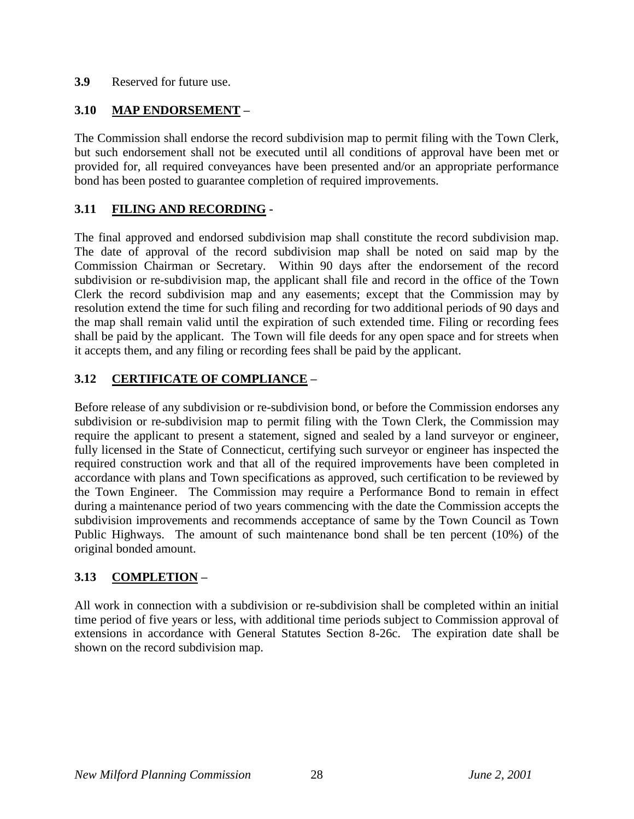### **3.9** Reserved for future use.

### **3.10 MAP ENDORSEMENT –**

The Commission shall endorse the record subdivision map to permit filing with the Town Clerk, but such endorsement shall not be executed until all conditions of approval have been met or provided for, all required conveyances have been presented and/or an appropriate performance bond has been posted to guarantee completion of required improvements.

### **3.11 FILING AND RECORDING -**

The final approved and endorsed subdivision map shall constitute the record subdivision map. The date of approval of the record subdivision map shall be noted on said map by the Commission Chairman or Secretary. Within 90 days after the endorsement of the record subdivision or re-subdivision map, the applicant shall file and record in the office of the Town Clerk the record subdivision map and any easements; except that the Commission may by resolution extend the time for such filing and recording for two additional periods of 90 days and the map shall remain valid until the expiration of such extended time. Filing or recording fees shall be paid by the applicant. The Town will file deeds for any open space and for streets when it accepts them, and any filing or recording fees shall be paid by the applicant.

### **3.12 CERTIFICATE OF COMPLIANCE –**

Before release of any subdivision or re-subdivision bond, or before the Commission endorses any subdivision or re-subdivision map to permit filing with the Town Clerk, the Commission may require the applicant to present a statement, signed and sealed by a land surveyor or engineer, fully licensed in the State of Connecticut, certifying such surveyor or engineer has inspected the required construction work and that all of the required improvements have been completed in accordance with plans and Town specifications as approved, such certification to be reviewed by the Town Engineer. The Commission may require a Performance Bond to remain in effect during a maintenance period of two years commencing with the date the Commission accepts the subdivision improvements and recommends acceptance of same by the Town Council as Town Public Highways. The amount of such maintenance bond shall be ten percent (10%) of the original bonded amount.

### **3.13 COMPLETION –**

All work in connection with a subdivision or re-subdivision shall be completed within an initial time period of five years or less, with additional time periods subject to Commission approval of extensions in accordance with General Statutes Section 8-26c. The expiration date shall be shown on the record subdivision map.